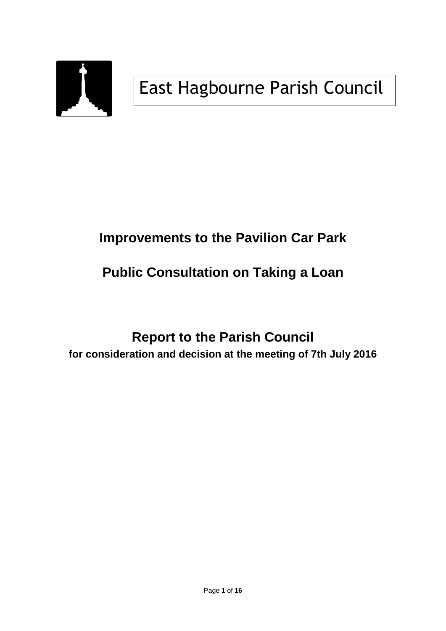

# **Improvements to the Pavilion Car Park**

# **Public Consultation on Taking a Loan**

# **Report to the Parish Council for consideration and decision at the meeting of 7th July 2016**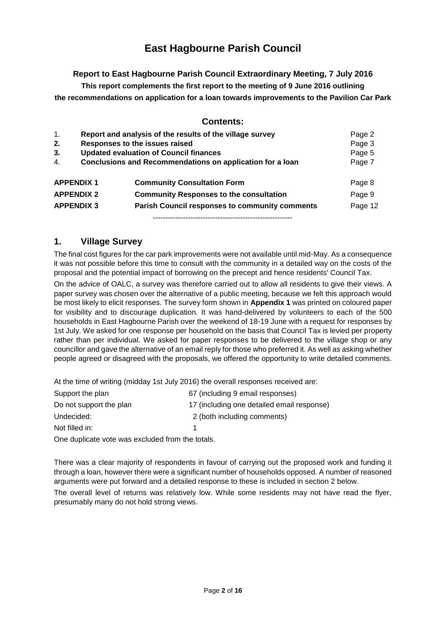## **East Hagbourne Parish Council**

**Report to East Hagbourne Parish Council Extraordinary Meeting, 7 July 2016**

**This report complements the first report to the meeting of 9 June 2016 outlining the recommendations on application for a loan towards improvements to the Pavilion Car Park**

## **Contents:**

| $\mathbf{1}$ .   | Report and analysis of the results of the village survey  |                                                       | Page 2  |
|------------------|-----------------------------------------------------------|-------------------------------------------------------|---------|
| 2.               | Responses to the issues raised                            |                                                       | Page 3  |
| 3.               | <b>Updated evaluation of Council finances</b>             |                                                       | Page 5  |
| $\overline{4}$ . | Conclusions and Recommendations on application for a loan | Page 7                                                |         |
|                  | <b>APPENDIX 1</b>                                         | <b>Community Consultation Form</b>                    | Page 8  |
|                  | <b>APPENDIX 2</b>                                         | <b>Community Responses to the consultation</b>        | Page 9  |
|                  | <b>APPENDIX 3</b>                                         | <b>Parish Council responses to community comments</b> | Page 12 |
|                  |                                                           |                                                       |         |

## **1. Village Survey**

The final cost figures for the car park improvements were not available until mid-May. As a consequence it was not possible before this time to consult with the community in a detailed way on the costs of the proposal and the potential impact of borrowing on the precept and hence residents' Council Tax.

On the advice of OALC, a survey was therefore carried out to allow all residents to give their views. A paper survey was chosen over the alternative of a public meeting, because we felt this approach would be most likely to elicit responses. The survey form shown in **Appendix 1** was printed on coloured paper for visibility and to discourage duplication. It was hand-delivered by volunteers to each of the 500 households in East Hagbourne Parish over the weekend of 18-19 June with a request for responses by 1st July. We asked for one response per household on the basis that Council Tax is levied per property rather than per individual. We asked for paper responses to be delivered to the village shop or any councillor and gave the alternative of an email reply for those who preferred it. As well as asking whether people agreed or disagreed with the proposals, we offered the opportunity to write detailed comments.

At the time of writing (midday 1st July 2016) the overall responses received are:

| 67 (including 9 email responses)           |
|--------------------------------------------|
| 17 (including one detailed email response) |
| 2 (both including comments)                |
|                                            |
|                                            |

One duplicate vote was excluded from the totals.

There was a clear majority of respondents in favour of carrying out the proposed work and funding it through a loan, however there were a significant number of households opposed. A number of reasoned arguments were put forward and a detailed response to these is included in section 2 below.

The overall level of returns was relatively low. While some residents may not have read the flyer, presumably many do not hold strong views.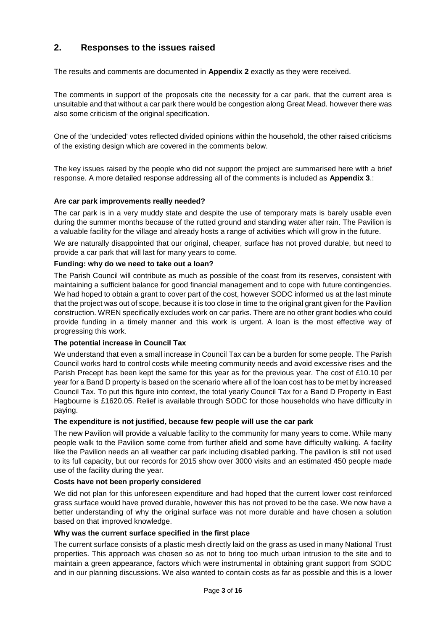## **2. Responses to the issues raised**

The results and comments are documented in **Appendix 2** exactly as they were received.

The comments in support of the proposals cite the necessity for a car park, that the current area is unsuitable and that without a car park there would be congestion along Great Mead. however there was also some criticism of the original specification.

One of the 'undecided' votes reflected divided opinions within the household, the other raised criticisms of the existing design which are covered in the comments below.

The key issues raised by the people who did not support the project are summarised here with a brief response. A more detailed response addressing all of the comments is included as **Appendix 3**.:

## **Are car park improvements really needed?**

The car park is in a very muddy state and despite the use of temporary mats is barely usable even during the summer months because of the rutted ground and standing water after rain. The Pavilion is a valuable facility for the village and already hosts a range of activities which will grow in the future.

We are naturally disappointed that our original, cheaper, surface has not proved durable, but need to provide a car park that will last for many years to come.

#### **Funding: why do we need to take out a loan?**

The Parish Council will contribute as much as possible of the coast from its reserves, consistent with maintaining a sufficient balance for good financial management and to cope with future contingencies. We had hoped to obtain a grant to cover part of the cost, however SODC informed us at the last minute that the project was out of scope, because it is too close in time to the original grant given for the Pavilion construction. WREN specifically excludes work on car parks. There are no other grant bodies who could provide funding in a timely manner and this work is urgent. A loan is the most effective way of progressing this work.

#### **The potential increase in Council Tax**

We understand that even a small increase in Council Tax can be a burden for some people. The Parish Council works hard to control costs while meeting community needs and avoid excessive rises and the Parish Precept has been kept the same for this year as for the previous year. The cost of £10.10 per year for a Band D property is based on the scenario where all of the loan cost has to be met by increased Council Tax. To put this figure into context, the total yearly Council Tax for a Band D Property in East Hagbourne is £1620.05. Relief is available through SODC for those households who have difficulty in paying.

## **The expenditure is not justified, because few people will use the car park**

The new Pavilion will provide a valuable facility to the community for many years to come. While many people walk to the Pavilion some come from further afield and some have difficulty walking. A facility like the Pavilion needs an all weather car park including disabled parking. The pavilion is still not used to its full capacity, but our records for 2015 show over 3000 visits and an estimated 450 people made use of the facility during the year.

## **Costs have not been properly considered**

We did not plan for this unforeseen expenditure and had hoped that the current lower cost reinforced grass surface would have proved durable, however this has not proved to be the case. We now have a better understanding of why the original surface was not more durable and have chosen a solution based on that improved knowledge.

#### **Why was the current surface specified in the first place**

The current surface consists of a plastic mesh directly laid on the grass as used in many National Trust properties. This approach was chosen so as not to bring too much urban intrusion to the site and to maintain a green appearance, factors which were instrumental in obtaining grant support from SODC and in our planning discussions. We also wanted to contain costs as far as possible and this is a lower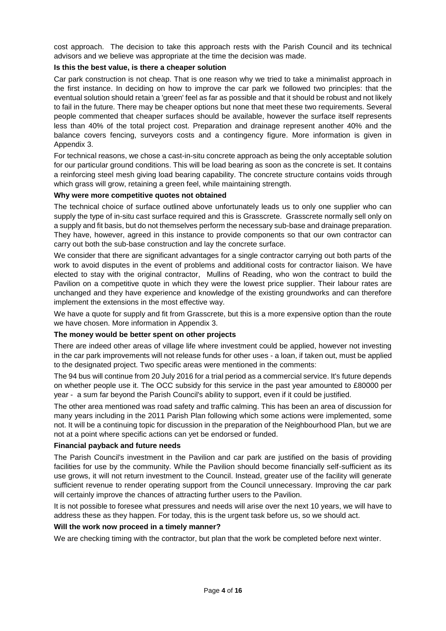cost approach. The decision to take this approach rests with the Parish Council and its technical advisors and we believe was appropriate at the time the decision was made.

## **Is this the best value, is there a cheaper solution**

Car park construction is not cheap. That is one reason why we tried to take a minimalist approach in the first instance. In deciding on how to improve the car park we followed two principles: that the eventual solution should retain a 'green' feel as far as possible and that it should be robust and not likely to fail in the future. There may be cheaper options but none that meet these two requirements. Several people commented that cheaper surfaces should be available, however the surface itself represents less than 40% of the total project cost. Preparation and drainage represent another 40% and the balance covers fencing, surveyors costs and a contingency figure. More information is given in Appendix 3.

For technical reasons, we chose a cast-in-situ concrete approach as being the only acceptable solution for our particular ground conditions. This will be load bearing as soon as the concrete is set. It contains a reinforcing steel mesh giving load bearing capability. The concrete structure contains voids through which grass will grow, retaining a green feel, while maintaining strength.

## **Why were more competitive quotes not obtained**

The technical choice of surface outlined above unfortunately leads us to only one supplier who can supply the type of in-situ cast surface required and this is Grasscrete. Grasscrete normally sell only on a supply and fit basis, but do not themselves perform the necessary sub-base and drainage preparation. They have, however, agreed in this instance to provide components so that our own contractor can carry out both the sub-base construction and lay the concrete surface.

We consider that there are significant advantages for a single contractor carrying out both parts of the work to avoid disputes in the event of problems and additional costs for contractor liaison. We have elected to stay with the original contractor, Mullins of Reading, who won the contract to build the Pavilion on a competitive quote in which they were the lowest price supplier. Their labour rates are unchanged and they have experience and knowledge of the existing groundworks and can therefore implement the extensions in the most effective way.

We have a quote for supply and fit from Grasscrete, but this is a more expensive option than the route we have chosen. More information in Appendix 3.

#### **The money would be better spent on other projects**

There are indeed other areas of village life where investment could be applied, however not investing in the car park improvements will not release funds for other uses - a loan, if taken out, must be applied to the designated project. Two specific areas were mentioned in the comments:

The 94 bus will continue from 20 July 2016 for a trial period as a commercial service. It's future depends on whether people use it. The OCC subsidy for this service in the past year amounted to £80000 per year - a sum far beyond the Parish Council's ability to support, even if it could be justified.

The other area mentioned was road safety and traffic calming. This has been an area of discussion for many years including in the 2011 Parish Plan following which some actions were implemented, some not. It will be a continuing topic for discussion in the preparation of the Neighbourhood Plan, but we are not at a point where specific actions can yet be endorsed or funded.

#### **Financial payback and future needs**

The Parish Council's investment in the Pavilion and car park are justified on the basis of providing facilities for use by the community. While the Pavilion should become financially self-sufficient as its use grows, it will not return investment to the Council. Instead, greater use of the facility will generate sufficient revenue to render operating support from the Council unnecessary. Improving the car park will certainly improve the chances of attracting further users to the Pavilion.

It is not possible to foresee what pressures and needs will arise over the next 10 years, we will have to address these as they happen. For today, this is the urgent task before us, so we should act.

#### **Will the work now proceed in a timely manner?**

We are checking timing with the contractor, but plan that the work be completed before next winter.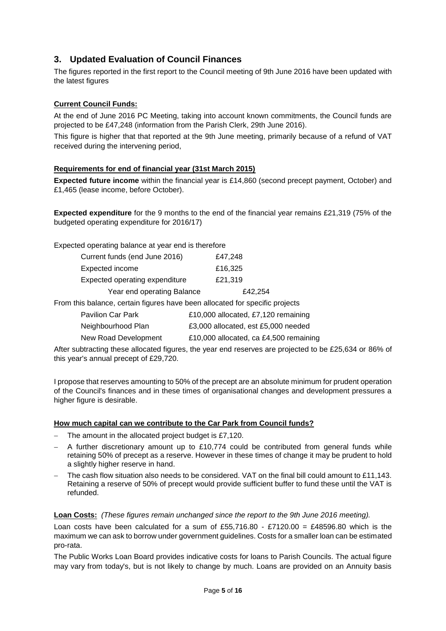## **3. Updated Evaluation of Council Finances**

The figures reported in the first report to the Council meeting of 9th June 2016 have been updated with the latest figures

## **Current Council Funds:**

At the end of June 2016 PC Meeting, taking into account known commitments, the Council funds are projected to be £47,248 (information from the Parish Clerk, 29th June 2016).

This figure is higher that that reported at the 9th June meeting, primarily because of a refund of VAT received during the intervening period,

## **Requirements for end of financial year (31st March 2015)**

**Expected future income** within the financial year is £14,860 (second precept payment, October) and £1,465 (lease income, before October).

**Expected expenditure** for the 9 months to the end of the financial year remains £21,319 (75% of the budgeted operating expenditure for 2016/17)

Expected operating balance at year end is therefore

| Current funds (end June 2016)                                                | £47,248 |
|------------------------------------------------------------------------------|---------|
| Expected income                                                              | £16,325 |
| Expected operating expenditure                                               | £21,319 |
| Year end operating Balance                                                   | £42,254 |
| From this balance, certain figures have been allocated for specific projects |         |

| <b>Pavilion Car Park</b> | £10,000 allocated, £7,120 remaining    |
|--------------------------|----------------------------------------|
| Neighbourhood Plan       | £3,000 allocated, est £5,000 needed    |
| New Road Development     | £10,000 allocated, ca £4,500 remaining |

After subtracting these allocated figures, the year end reserves are projected to be £25,634 or 86% of this year's annual precept of £29,720.

I propose that reserves amounting to 50% of the precept are an absolute minimum for prudent operation of the Council's finances and in these times of organisational changes and development pressures a higher figure is desirable.

## **How much capital can we contribute to the Car Park from Council funds?**

- The amount in the allocated project budget is £7,120.
- A further discretionary amount up to £10,774 could be contributed from general funds while retaining 50% of precept as a reserve. However in these times of change it may be prudent to hold a slightly higher reserve in hand.
- The cash flow situation also needs to be considered. VAT on the final bill could amount to £11,143. Retaining a reserve of 50% of precept would provide sufficient buffer to fund these until the VAT is refunded.

## **Loan Costs:** *(These figures remain unchanged since the report to the 9th June 2016 meeting).*

Loan costs have been calculated for a sum of £55,716.80 - £7120.00 = £48596.80 which is the maximum we can ask to borrow under government guidelines. Costs for a smaller loan can be estimated pro-rata.

The Public Works Loan Board provides indicative costs for loans to Parish Councils. The actual figure may vary from today's, but is not likely to change by much. Loans are provided on an Annuity basis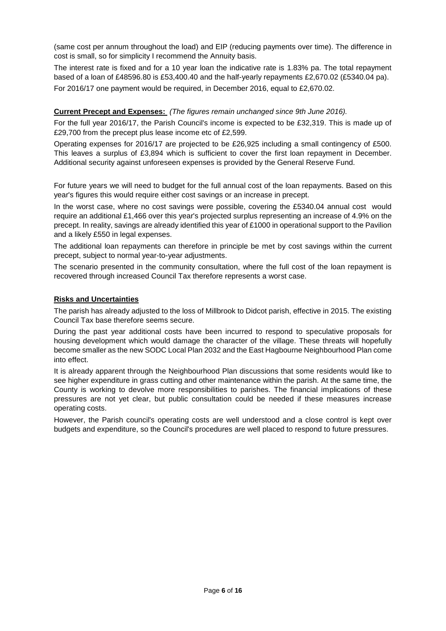(same cost per annum throughout the load) and EIP (reducing payments over time). The difference in cost is small, so for simplicity I recommend the Annuity basis.

The interest rate is fixed and for a 10 year loan the indicative rate is 1.83% pa. The total repayment based of a loan of £48596.80 is £53,400.40 and the half-yearly repayments £2,670.02 (£5340.04 pa). For 2016/17 one payment would be required, in December 2016, equal to £2,670.02.

## **Current Precept and Expenses:** *(The figures remain unchanged since 9th June 2016).*

For the full year 2016/17, the Parish Council's income is expected to be £32,319. This is made up of £29,700 from the precept plus lease income etc of £2,599.

Operating expenses for 2016/17 are projected to be £26,925 including a small contingency of £500. This leaves a surplus of £3,894 which is sufficient to cover the first loan repayment in December. Additional security against unforeseen expenses is provided by the General Reserve Fund.

For future years we will need to budget for the full annual cost of the loan repayments. Based on this year's figures this would require either cost savings or an increase in precept.

In the worst case, where no cost savings were possible, covering the £5340.04 annual cost would require an additional £1,466 over this year's projected surplus representing an increase of 4.9% on the precept. In reality, savings are already identified this year of £1000 in operational support to the Pavilion and a likely £550 in legal expenses.

The additional loan repayments can therefore in principle be met by cost savings within the current precept, subject to normal year-to-year adjustments.

The scenario presented in the community consultation, where the full cost of the loan repayment is recovered through increased Council Tax therefore represents a worst case.

## **Risks and Uncertainties**

The parish has already adjusted to the loss of Millbrook to Didcot parish, effective in 2015. The existing Council Tax base therefore seems secure.

During the past year additional costs have been incurred to respond to speculative proposals for housing development which would damage the character of the village. These threats will hopefully become smaller as the new SODC Local Plan 2032 and the East Hagbourne Neighbourhood Plan come into effect.

It is already apparent through the Neighbourhood Plan discussions that some residents would like to see higher expenditure in grass cutting and other maintenance within the parish. At the same time, the County is working to devolve more responsibilities to parishes. The financial implications of these pressures are not yet clear, but public consultation could be needed if these measures increase operating costs.

However, the Parish council's operating costs are well understood and a close control is kept over budgets and expenditure, so the Council's procedures are well placed to respond to future pressures.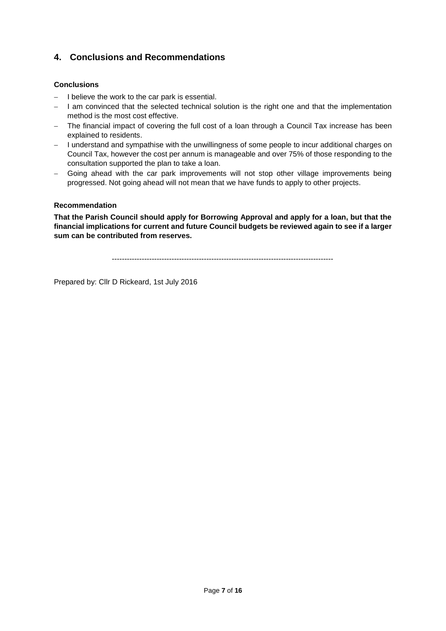## **4. Conclusions and Recommendations**

## **Conclusions**

- $-I$  believe the work to the car park is essential.
- $-$  I am convinced that the selected technical solution is the right one and that the implementation method is the most cost effective.
- The financial impact of covering the full cost of a loan through a Council Tax increase has been explained to residents.
- I understand and sympathise with the unwillingness of some people to incur additional charges on Council Tax, however the cost per annum is manageable and over 75% of those responding to the consultation supported the plan to take a loan.
- Going ahead with the car park improvements will not stop other village improvements being progressed. Not going ahead will not mean that we have funds to apply to other projects.

## **Recommendation**

**That the Parish Council should apply for Borrowing Approval and apply for a loan, but that the financial implications for current and future Council budgets be reviewed again to see if a larger sum can be contributed from reserves.**

-----------------------------------------------------------------------------------------

Prepared by: Cllr D Rickeard, 1st July 2016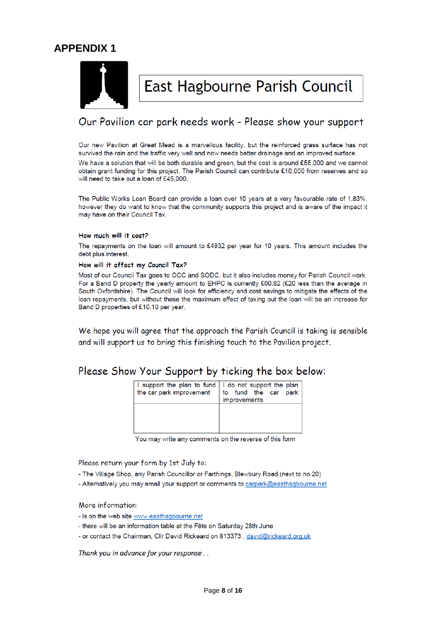## **APPENDIX 1**



East Hagbourne Parish Council

## Our Pavilion car park needs work - Please show your support

Our new Pavilion at Great Mead is a marvellous facility, but the reinforced grass surface has not survived the rain and the traffic very well and now needs better drainage and an improved surface. We have a solution that will be both durable and green, but the cost is around £55,000 and we cannot obtain grant funding for this project. The Parish Council can contribute £10,000 from reserves and so will need to take out a loan of £45,000.

The Public Works Loan Board can provide a loan over 10 years at a very favourable rate of 1.83%, however they do want to know that the community supports this project and is aware of the impact it may have on their Council Tax.

#### How much will it cost?

The repayments on the loan will amount to £4932 per year for 10 years. This amount includes the debt plus interest.

#### How will it affect my Council Tax?

Most of our Council Tax goes to OCC and SODC, but it also includes money for Parish Council work. For a Band D property the yearly amount to EHPC is currently £60.82 (£20 less than the average in South Oxfordshire). The Council will look for efficiency and cost savings to mitigate the effects of the loan repayments, but without these the maximum effect of taking out the loan will be an increase for Band D properties of £10.10 per year.

We hope you will agree that the approach the Parish Council is taking is sensible and will support us to bring this finishing touch to the Pavilion project.

## Please Show Your Support by ticking the box below:

| I support the plan to fund   I do not support the plan | to fund the car park |
|--------------------------------------------------------|----------------------|
| the car park improvement                               | improvements         |
|                                                        |                      |

You may write any comments on the reverse of this form

Please return your form by 1st July to:

- The Village Shop, any Parish Councillor or Farthings, Blewbury Road (next to no 20)
- Alternatively you may email your support or comments to carpark@easthagbourne.net

#### More information:

- is on the web site www.easthagbourne.net
- there will be an information table at the Fête on Saturday 28th June
- or contact the Chairman, Cllr David Rickeard on 813373, david@rickeard.org.uk

Thank you in advance for your response...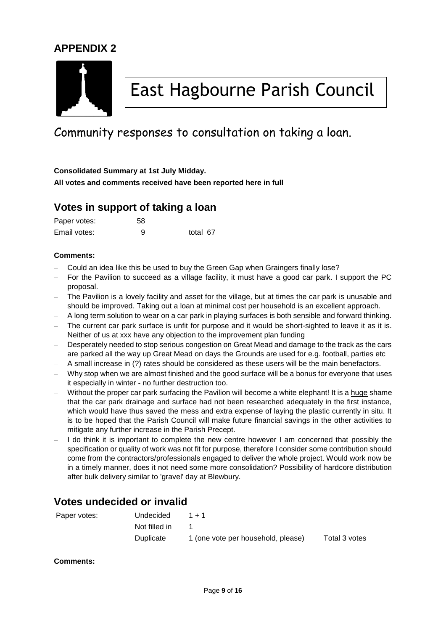## **APPENDIX 2**



# East Hagbourne Parish Council

# Community responses to consultation on taking a loan.

**Consolidated Summary at 1st July Midday. All votes and comments received have been reported here in full**

## **Votes in support of taking a loan**

| Paper votes: | 58 |          |
|--------------|----|----------|
| Email votes: | 9  | total 67 |

## **Comments:**

- Could an idea like this be used to buy the Green Gap when Graingers finally lose?
- For the Pavilion to succeed as a village facility, it must have a good car park. I support the PC proposal.
- The Pavilion is a lovely facility and asset for the village, but at times the car park is unusable and should be improved. Taking out a loan at minimal cost per household is an excellent approach.
- A long term solution to wear on a car park in playing surfaces is both sensible and forward thinking.
- The current car park surface is unfit for purpose and it would be short-sighted to leave it as it is. Neither of us at xxx have any objection to the improvement plan funding
- Desperately needed to stop serious congestion on Great Mead and damage to the track as the cars are parked all the way up Great Mead on days the Grounds are used for e.g. football, parties etc
- A small increase in (?) rates should be considered as these users will be the main benefactors.
- Why stop when we are almost finished and the good surface will be a bonus for everyone that uses it especially in winter - no further destruction too.
- Without the proper car park surfacing the Pavilion will become a white elephant! It is a huge shame that the car park drainage and surface had not been researched adequately in the first instance, which would have thus saved the mess and extra expense of laying the plastic currently in situ. It is to be hoped that the Parish Council will make future financial savings in the other activities to mitigate any further increase in the Parish Precept.
- I do think it is important to complete the new centre however I am concerned that possibly the specification or quality of work was not fit for purpose, therefore I consider some contribution should come from the contractors/professionals engaged to deliver the whole project. Would work now be in a timely manner, does it not need some more consolidation? Possibility of hardcore distribution after bulk delivery similar to 'gravel' day at Blewbury.

## **Votes undecided or invalid**

| Paper votes: | Undecided     | $1 + 1$                            |               |
|--------------|---------------|------------------------------------|---------------|
|              | Not filled in |                                    |               |
|              | Duplicate     | 1 (one vote per household, please) | Total 3 votes |

**Comments:**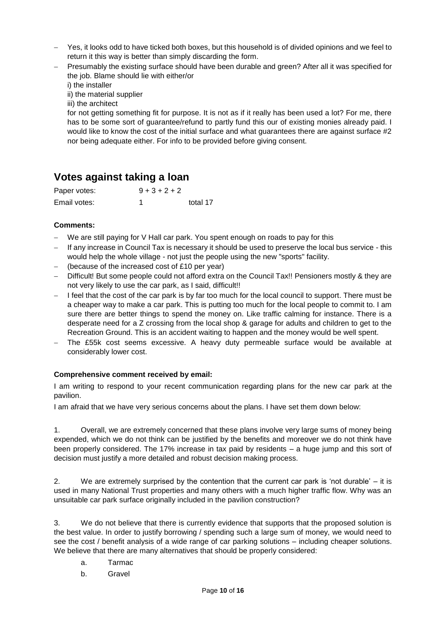- Yes, it looks odd to have ticked both boxes, but this household is of divided opinions and we feel to return it this way is better than simply discarding the form.
- Presumably the existing surface should have been durable and green? After all it was specified for the job. Blame should lie with either/or

i) the installer

ii) the material supplier

iii) the architect

for not getting something fit for purpose. It is not as if it really has been used a lot? For me, there has to be some sort of guarantee/refund to partly fund this our of existing monies already paid. I would like to know the cost of the initial surface and what guarantees there are against surface #2 nor being adequate either. For info to be provided before giving consent.

## **Votes against taking a loan**

| Paper votes: | $9 + 3 + 2 + 2$ |          |
|--------------|-----------------|----------|
| Email votes: |                 | total 17 |

## **Comments:**

- We are still paying for V Hall car park. You spent enough on roads to pay for this
- If any increase in Council Tax is necessary it should be used to preserve the local bus service this would help the whole village - not just the people using the new "sports" facility.
- (because of the increased cost of £10 per year)
- Difficult! But some people could not afford extra on the Council Tax!! Pensioners mostly & they are not very likely to use the car park, as I said, difficult!!
- I feel that the cost of the car park is by far too much for the local council to support. There must be a cheaper way to make a car park. This is putting too much for the local people to commit to. I am sure there are better things to spend the money on. Like traffic calming for instance. There is a desperate need for a Z crossing from the local shop & garage for adults and children to get to the Recreation Ground. This is an accident waiting to happen and the money would be well spent.
- The £55k cost seems excessive. A heavy duty permeable surface would be available at considerably lower cost.

## **Comprehensive comment received by email:**

I am writing to respond to your recent communication regarding plans for the new car park at the pavilion.

I am afraid that we have very serious concerns about the plans. I have set them down below:

1. Overall, we are extremely concerned that these plans involve very large sums of money being expended, which we do not think can be justified by the benefits and moreover we do not think have been properly considered. The 17% increase in tax paid by residents – a huge jump and this sort of decision must justify a more detailed and robust decision making process.

2. We are extremely surprised by the contention that the current car park is 'not durable' – it is used in many National Trust properties and many others with a much higher traffic flow. Why was an unsuitable car park surface originally included in the pavilion construction?

3. We do not believe that there is currently evidence that supports that the proposed solution is the best value. In order to justify borrowing / spending such a large sum of money, we would need to see the cost / benefit analysis of a wide range of car parking solutions – including cheaper solutions. We believe that there are many alternatives that should be properly considered:

- a. Tarmac
- b. Gravel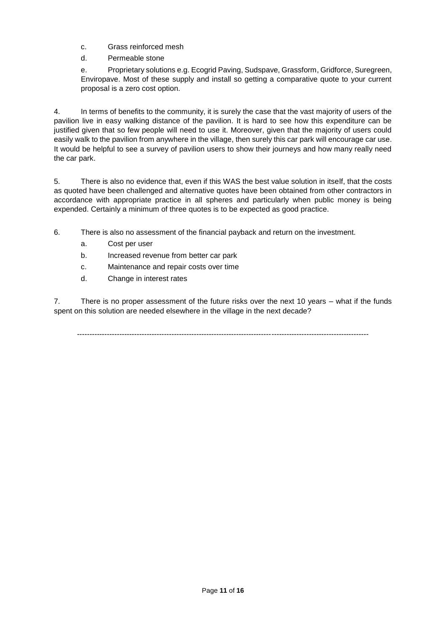c. Grass reinforced mesh

d. Permeable stone

e. Proprietary solutions e.g. Ecogrid Paving, Sudspave, Grassform, Gridforce, Suregreen, Enviropave. Most of these supply and install so getting a comparative quote to your current proposal is a zero cost option.

4. In terms of benefits to the community, it is surely the case that the vast majority of users of the pavilion live in easy walking distance of the pavilion. It is hard to see how this expenditure can be justified given that so few people will need to use it. Moreover, given that the majority of users could easily walk to the pavilion from anywhere in the village, then surely this car park will encourage car use. It would be helpful to see a survey of pavilion users to show their journeys and how many really need the car park.

5. There is also no evidence that, even if this WAS the best value solution in itself, that the costs as quoted have been challenged and alternative quotes have been obtained from other contractors in accordance with appropriate practice in all spheres and particularly when public money is being expended. Certainly a minimum of three quotes is to be expected as good practice.

6. There is also no assessment of the financial payback and return on the investment.

- a. Cost per user
- b. Increased revenue from better car park
- c. Maintenance and repair costs over time
- d. Change in interest rates

7. There is no proper assessment of the future risks over the next 10 years – what if the funds spent on this solution are needed elsewhere in the village in the next decade?

---------------------------------------------------------------------------------------------------------------------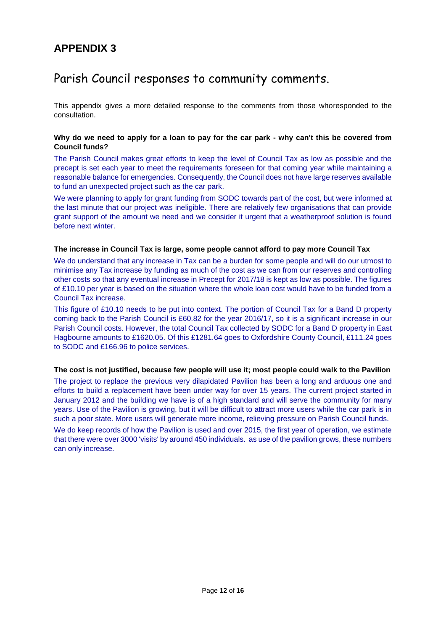## **APPENDIX 3**

## Parish Council responses to community comments.

This appendix gives a more detailed response to the comments from those whoresponded to the consultation.

## **Why do we need to apply for a loan to pay for the car park - why can't this be covered from Council funds?**

The Parish Council makes great efforts to keep the level of Council Tax as low as possible and the precept is set each year to meet the requirements foreseen for that coming year while maintaining a reasonable balance for emergencies. Consequently, the Council does not have large reserves available to fund an unexpected project such as the car park.

We were planning to apply for grant funding from SODC towards part of the cost, but were informed at the last minute that our project was ineligible. There are relatively few organisations that can provide grant support of the amount we need and we consider it urgent that a weatherproof solution is found before next winter.

## **The increase in Council Tax is large, some people cannot afford to pay more Council Tax**

We do understand that any increase in Tax can be a burden for some people and will do our utmost to minimise any Tax increase by funding as much of the cost as we can from our reserves and controlling other costs so that any eventual increase in Precept for 2017/18 is kept as low as possible. The figures of £10.10 per year is based on the situation where the whole loan cost would have to be funded from a Council Tax increase.

This figure of £10.10 needs to be put into context. The portion of Council Tax for a Band D property coming back to the Parish Council is £60.82 for the year 2016/17, so it is a significant increase in our Parish Council costs. However, the total Council Tax collected by SODC for a Band D property in East Hagbourne amounts to £1620.05. Of this £1281.64 goes to Oxfordshire County Council, £111.24 goes to SODC and £166.96 to police services.

## **The cost is not justified, because few people will use it; most people could walk to the Pavilion**

The project to replace the previous very dilapidated Pavilion has been a long and arduous one and efforts to build a replacement have been under way for over 15 years. The current project started in January 2012 and the building we have is of a high standard and will serve the community for many years. Use of the Pavilion is growing, but it will be difficult to attract more users while the car park is in such a poor state. More users will generate more income, relieving pressure on Parish Council funds. We do keep records of how the Pavilion is used and over 2015, the first year of operation, we estimate

that there were over 3000 'visits' by around 450 individuals. as use of the pavilion grows, these numbers can only increase.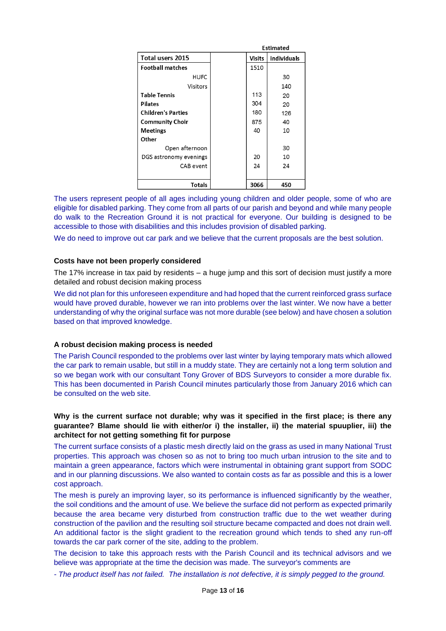|                           | <b>Estimated</b> |             |
|---------------------------|------------------|-------------|
| Total users 2015          | Visits           | individuals |
| <b>Football matches</b>   | 1510             |             |
| <b>HUFC</b>               |                  | 30          |
| Visitors                  |                  | 140         |
| <b>Table Tennis</b>       | 113              | 20          |
| <b>Pilates</b>            | 304              | 20          |
| <b>Children's Parties</b> | 180              | 126         |
| <b>Community Choir</b>    | 875              | 40          |
| <b>Meetings</b>           | 40               | 10          |
| Other                     |                  |             |
| Open afternoon            |                  | 30          |
| DGS astronomy evenings    | 20               | 10          |
| CAB event                 | 24               | 24          |
|                           |                  |             |
| <b>Totals</b>             | 3066             | 450         |

The users represent people of all ages including young children and older people, some of who are eligible for disabled parking. They come from all parts of our parish and beyond and while many people do walk to the Recreation Ground it is not practical for everyone. Our building is designed to be accessible to those with disabilities and this includes provision of disabled parking.

We do need to improve out car park and we believe that the current proposals are the best solution.

## **Costs have not been properly considered**

The 17% increase in tax paid by residents – a huge jump and this sort of decision must justify a more detailed and robust decision making process

We did not plan for this unforeseen expenditure and had hoped that the current reinforced grass surface would have proved durable, however we ran into problems over the last winter. We now have a better understanding of why the original surface was not more durable (see below) and have chosen a solution based on that improved knowledge.

#### **A robust decision making process is needed**

The Parish Council responded to the problems over last winter by laying temporary mats which allowed the car park to remain usable, but still in a muddy state. They are certainly not a long term solution and so we began work with our consultant Tony Grover of BDS Surveyors to consider a more durable fix. This has been documented in Parish Council minutes particularly those from January 2016 which can be consulted on the web site.

## **Why is the current surface not durable; why was it specified in the first place; is there any guarantee? Blame should lie with either/or i) the installer, ii) the material spuuplier, iii) the architect for not getting something fit for purpose**

The current surface consists of a plastic mesh directly laid on the grass as used in many National Trust properties. This approach was chosen so as not to bring too much urban intrusion to the site and to maintain a green appearance, factors which were instrumental in obtaining grant support from SODC and in our planning discussions. We also wanted to contain costs as far as possible and this is a lower cost approach.

The mesh is purely an improving layer, so its performance is influenced significantly by the weather, the soil conditions and the amount of use. We believe the surface did not perform as expected primarily because the area became very disturbed from construction traffic due to the wet weather during construction of the pavilion and the resulting soil structure became compacted and does not drain well. An additional factor is the slight gradient to the recreation ground which tends to shed any run-off towards the car park corner of the site, adding to the problem.

The decision to take this approach rests with the Parish Council and its technical advisors and we believe was appropriate at the time the decision was made. The surveyor's comments are

*- The product itself has not failed. The installation is not defective, it is simply pegged to the ground.*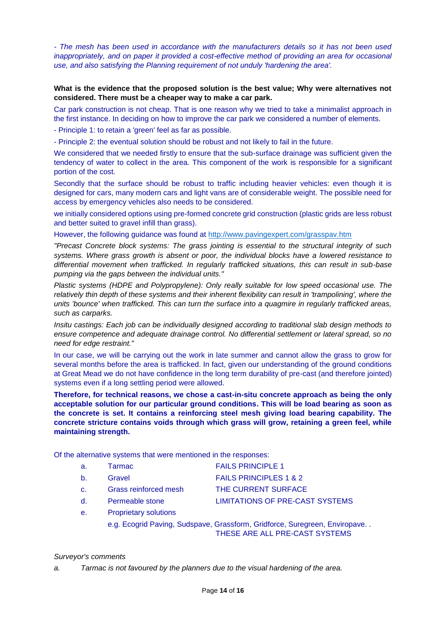*- The mesh has been used in accordance with the manufacturers details so it has not been used inappropriately, and on paper it provided a cost-effective method of providing an area for occasional use, and also satisfying the Planning requirement of not unduly 'hardening the area'.*

## **What is the evidence that the proposed solution is the best value; Why were alternatives not considered. There must be a cheaper way to make a car park.**

Car park construction is not cheap. That is one reason why we tried to take a minimalist approach in the first instance. In deciding on how to improve the car park we considered a number of elements.

- Principle 1: to retain a 'green' feel as far as possible.

- Principle 2: the eventual solution should be robust and not likely to fail in the future.

We considered that we needed firstly to ensure that the sub-surface drainage was sufficient given the tendency of water to collect in the area. This component of the work is responsible for a significant portion of the cost.

Secondly that the surface should be robust to traffic including heavier vehicles: even though it is designed for cars, many modern cars and light vans are of considerable weight. The possible need for access by emergency vehicles also needs to be considered.

we initially considered options using pre-formed concrete grid construction (plastic grids are less robust and better suited to gravel infill than grass).

However, the following guidance was found at<http://www.pavingexpert.com/grasspav.htm>

*"Precast Concrete block systems: The grass jointing is essential to the structural integrity of such systems. Where grass growth is absent or poor, the individual blocks have a lowered resistance to differential movement when trafficked. In regularly trafficked situations, this can result in sub-base pumping via the gaps between the individual units."*

*Plastic systems (HDPE and Polypropylene): Only really suitable for low speed occasional use. The relatively thin depth of these systems and their inherent flexibility can result in 'trampolining', where the units 'bounce' when trafficked. This can turn the surface into a quagmire in regularly trafficked areas, such as carparks.*

*Insitu castings: Each job can be individually designed according to traditional slab design methods to ensure competence and adequate drainage control. No differential settlement or lateral spread, so no need for edge restraint."*

In our case, we will be carrying out the work in late summer and cannot allow the grass to grow for several months before the area is trafficked. In fact, given our understanding of the ground conditions at Great Mead we do not have confidence in the long term durability of pre-cast (and therefore jointed) systems even if a long settling period were allowed.

**Therefore, for technical reasons, we chose a cast-in-situ concrete approach as being the only acceptable solution for our particular ground conditions. This will be load bearing as soon as the concrete is set. It contains a reinforcing steel mesh giving load bearing capability. The concrete stricture contains voids through which grass will grow, retaining a green feel, while maintaining strength.**

Of the alternative systems that were mentioned in the responses:

| a.             | Tarmac                       | <b>FAILS PRINCIPLE 1</b>                                                                                        |
|----------------|------------------------------|-----------------------------------------------------------------------------------------------------------------|
| $\mathbf b$ .  | Gravel                       | <b>FAILS PRINCIPLES 1 &amp; 2</b>                                                                               |
| C <sub>1</sub> | Grass reinforced mesh        | THE CURRENT SURFACE                                                                                             |
| d.             | Permeable stone              | <b>LIMITATIONS OF PRE-CAST SYSTEMS</b>                                                                          |
| е.             | <b>Proprietary solutions</b> |                                                                                                                 |
|                |                              | e.g. Ecogrid Paving, Sudspave, Grassform, Gridforce, Suregreen, Enviropave. .<br>THESE ARE ALL PRE-CAST SYSTEMS |
|                |                              |                                                                                                                 |

#### *Surveyor's comments*

*a. Tarmac is not favoured by the planners due to the visual hardening of the area.*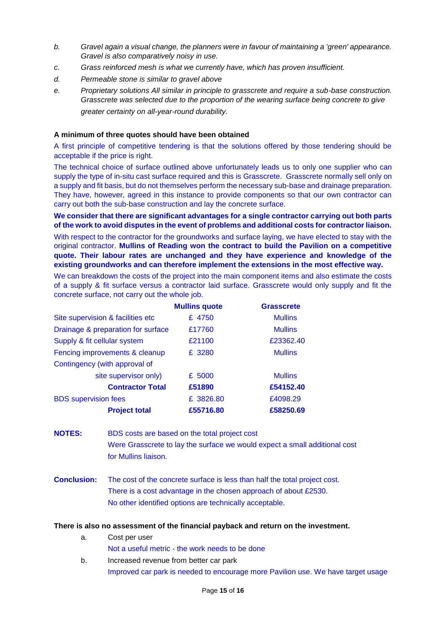- *b. Gravel again a visual change, the planners were in favour of maintaining a 'green' appearance. Gravel is also comparatively noisy in use.*
- *c. Grass reinforced mesh is what we currently have, which has proven insufficient.*
- *d. Permeable stone is similar to gravel above*
- *e. Proprietary solutions All similar in principle to grasscrete and require a sub-base construction. Grasscrete was selected due to the proportion of the wearing surface being concrete to give greater certainty on all-year-round durability.*

## **A minimum of three quotes should have been obtained**

A first principle of competitive tendering is that the solutions offered by those tendering should be acceptable if the price is right.

The technical choice of surface outlined above unfortunately leads us to only one supplier who can supply the type of in-situ cast surface required and this is Grasscrete. Grasscrete normally sell only on a supply and fit basis, but do not themselves perform the necessary sub-base and drainage preparation. They have, however, agreed in this instance to provide components so that our own contractor can carry out both the sub-base construction and lay the concrete surface.

**We consider that there are significant advantages for a single contractor carrying out both parts of the work to avoid disputes in the event of problems and additional costs for contractor liaison.** 

With respect to the contractor for the groundworks and surface laying, we have elected to stay with the original contractor. **Mullins of Reading won the contract to build the Pavilion on a competitive quote. Their labour rates are unchanged and they have experience and knowledge of the existing groundworks and can therefore implement the extensions in the most effective way.**

We can breakdown the costs of the project into the main component items and also estimate the costs of a supply & fit surface versus a contractor laid surface. Grasscrete would only supply and fit the concrete surface, not carry out the whole job.

| <b>Mullins quote</b> | Grasscrete     |
|----------------------|----------------|
| £4750                | <b>Mullins</b> |
| £17760               | <b>Mullins</b> |
| £21100               | £23362.40      |
| £ 3280               | <b>Mullins</b> |
|                      |                |
| £ 5000               | <b>Mullins</b> |
| £51890               | £54152.40      |
| £ 3826.80            | £4098.29       |
| £55716.80            | £58250.69      |
|                      |                |

- **NOTES:** BDS costs are based on the total project cost Were Grasscrete to lay the surface we would expect a small additional cost for Mullins liaison.
- **Conclusion:** The cost of the concrete surface is less than half the total project cost. There is a cost advantage in the chosen approach of about £2530. No other identified options are technically acceptable.

## **There is also no assessment of the financial payback and return on the investment.**

a. Cost per user Not a useful metric - the work needs to be done b. Increased revenue from better car park Improved car park is needed to encourage more Pavilion use. We have target usage